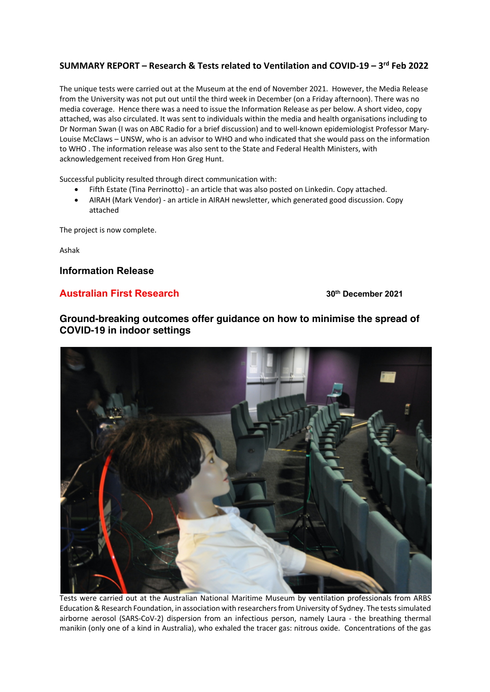## **SUMMARY REPORT – Research & Tests related to Ventilation and COVID-19 – 3rd Feb 2022**

The unique tests were carried out at the Museum at the end of November 2021. However, the Media Release from the University was not put out until the third week in December (on a Friday afternoon). There was no media coverage. Hence there was a need to issue the Information Release as per below. A short video, copy attached, was also circulated. It was sent to individuals within the media and health organisations including to Dr Norman Swan (I was on ABC Radio for a brief discussion) and to well-known epidemiologist Professor Mary-Louise McClaws – UNSW, who is an advisor to WHO and who indicated that she would pass on the information to WHO . The information release was also sent to the State and Federal Health Ministers, with acknowledgement received from Hon Greg Hunt.

Successful publicity resulted through direct communication with:

- Fifth Estate (Tina Perrinotto) an article that was also posted on Linkedin. Copy attached.
- AIRAH (Mark Vendor) an article in AIRAH newsletter, which generated good discussion. Copy attached

The project is now complete.

Ashak

**Information Release**

## **Australian First Research 30th December 2021**

## **Ground-breaking outcomes offer guidance on how to minimise the spread of COVID-19 in indoor settings**



Tests were carried out at the Australian National Maritime Museum by ventilation professionals from ARBS Education & Research Foundation, in association with researchers from University of Sydney. The tests simulated airborne aerosol (SARS-CoV-2) dispersion from an infectious person, namely Laura - the breathing thermal manikin (only one of a kind in Australia), who exhaled the tracer gas: nitrous oxide. Concentrations of the gas